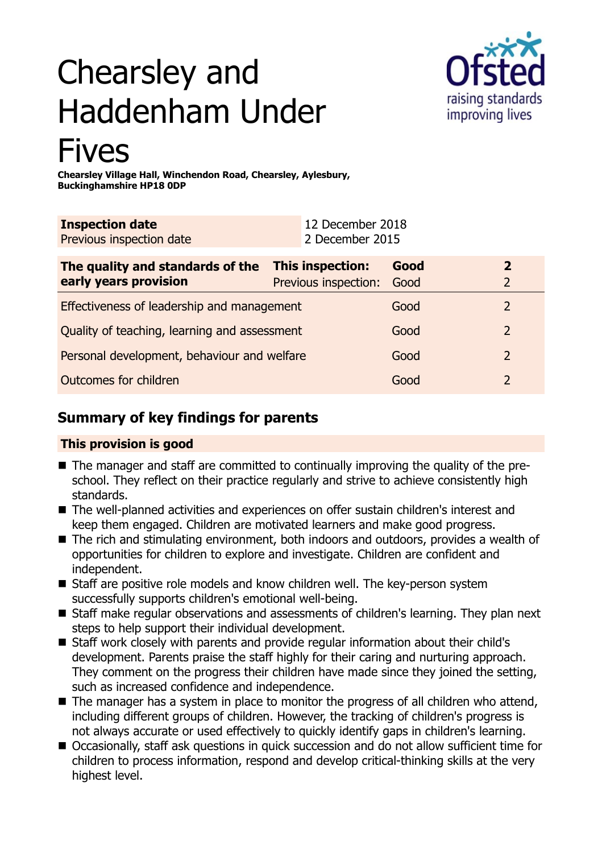# Chearsley and Haddenham Under Fives



**Chearsley Village Hall, Winchendon Road, Chearsley, Aylesbury, Buckinghamshire HP18 0DP**

| <b>Inspection date</b><br>Previous inspection date        | 12 December 2018<br>2 December 2015      |              |                                  |
|-----------------------------------------------------------|------------------------------------------|--------------|----------------------------------|
| The quality and standards of the<br>early years provision | This inspection:<br>Previous inspection: | Good<br>Good | $\overline{2}$<br>$\overline{2}$ |
| Effectiveness of leadership and management                |                                          | Good         | $\overline{2}$                   |
| Quality of teaching, learning and assessment              |                                          | Good         | $\overline{2}$                   |
| Personal development, behaviour and welfare               |                                          | Good         | $\overline{2}$                   |
| Outcomes for children                                     |                                          | Good         | $\overline{2}$                   |

## **Summary of key findings for parents**

## **This provision is good**

- The manager and staff are committed to continually improving the quality of the preschool. They reflect on their practice regularly and strive to achieve consistently high standards.
- The well-planned activities and experiences on offer sustain children's interest and keep them engaged. Children are motivated learners and make good progress.
- The rich and stimulating environment, both indoors and outdoors, provides a wealth of opportunities for children to explore and investigate. Children are confident and independent.
- Staff are positive role models and know children well. The key-person system successfully supports children's emotional well-being.
- Staff make regular observations and assessments of children's learning. They plan next steps to help support their individual development.
- Staff work closely with parents and provide regular information about their child's development. Parents praise the staff highly for their caring and nurturing approach. They comment on the progress their children have made since they joined the setting, such as increased confidence and independence.
- $\blacksquare$  The manager has a system in place to monitor the progress of all children who attend, including different groups of children. However, the tracking of children's progress is not always accurate or used effectively to quickly identify gaps in children's learning.
- Occasionally, staff ask questions in quick succession and do not allow sufficient time for children to process information, respond and develop critical-thinking skills at the very highest level.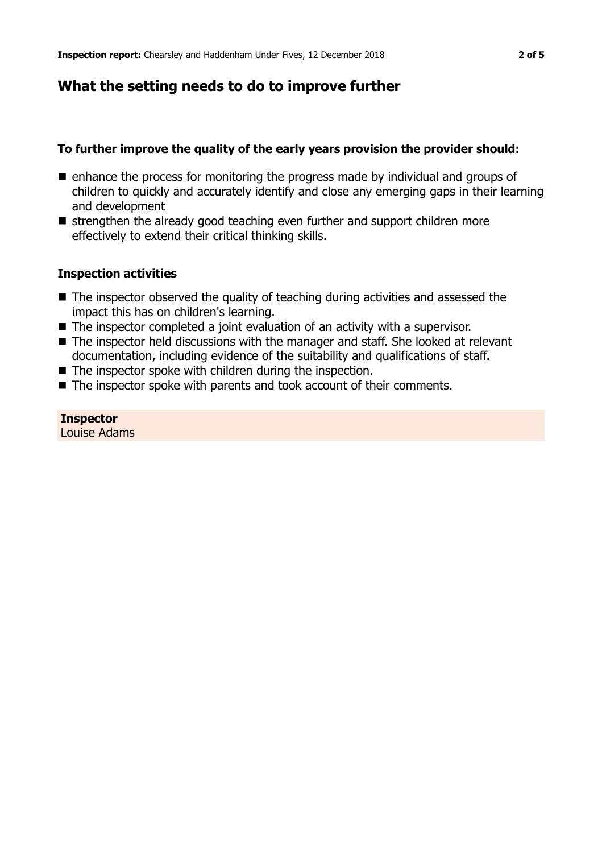## **What the setting needs to do to improve further**

## **To further improve the quality of the early years provision the provider should:**

- $\blacksquare$  enhance the process for monitoring the progress made by individual and groups of children to quickly and accurately identify and close any emerging gaps in their learning and development
- $\blacksquare$  strengthen the already good teaching even further and support children more effectively to extend their critical thinking skills.

## **Inspection activities**

- $\blacksquare$  The inspector observed the quality of teaching during activities and assessed the impact this has on children's learning.
- $\blacksquare$  The inspector completed a joint evaluation of an activity with a supervisor.
- $\blacksquare$  The inspector held discussions with the manager and staff. She looked at relevant documentation, including evidence of the suitability and qualifications of staff.
- $\blacksquare$  The inspector spoke with children during the inspection.
- $\blacksquare$  The inspector spoke with parents and took account of their comments.

#### **Inspector** Louise Adams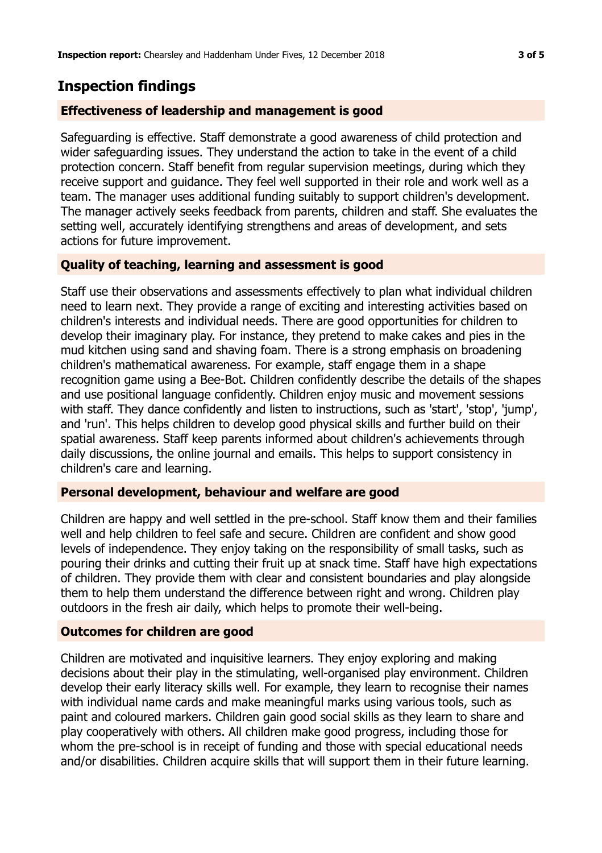## **Inspection findings**

### **Effectiveness of leadership and management is good**

Safeguarding is effective. Staff demonstrate a good awareness of child protection and wider safeguarding issues. They understand the action to take in the event of a child protection concern. Staff benefit from regular supervision meetings, during which they receive support and guidance. They feel well supported in their role and work well as a team. The manager uses additional funding suitably to support children's development. The manager actively seeks feedback from parents, children and staff. She evaluates the setting well, accurately identifying strengthens and areas of development, and sets actions for future improvement.

### **Quality of teaching, learning and assessment is good**

Staff use their observations and assessments effectively to plan what individual children need to learn next. They provide a range of exciting and interesting activities based on children's interests and individual needs. There are good opportunities for children to develop their imaginary play. For instance, they pretend to make cakes and pies in the mud kitchen using sand and shaving foam. There is a strong emphasis on broadening children's mathematical awareness. For example, staff engage them in a shape recognition game using a Bee-Bot. Children confidently describe the details of the shapes and use positional language confidently. Children enjoy music and movement sessions with staff. They dance confidently and listen to instructions, such as 'start', 'stop', 'jump', and 'run'. This helps children to develop good physical skills and further build on their spatial awareness. Staff keep parents informed about children's achievements through daily discussions, the online journal and emails. This helps to support consistency in children's care and learning.

#### **Personal development, behaviour and welfare are good**

Children are happy and well settled in the pre-school. Staff know them and their families well and help children to feel safe and secure. Children are confident and show good levels of independence. They enjoy taking on the responsibility of small tasks, such as pouring their drinks and cutting their fruit up at snack time. Staff have high expectations of children. They provide them with clear and consistent boundaries and play alongside them to help them understand the difference between right and wrong. Children play outdoors in the fresh air daily, which helps to promote their well-being.

#### **Outcomes for children are good**

Children are motivated and inquisitive learners. They enjoy exploring and making decisions about their play in the stimulating, well-organised play environment. Children develop their early literacy skills well. For example, they learn to recognise their names with individual name cards and make meaningful marks using various tools, such as paint and coloured markers. Children gain good social skills as they learn to share and play cooperatively with others. All children make good progress, including those for whom the pre-school is in receipt of funding and those with special educational needs and/or disabilities. Children acquire skills that will support them in their future learning.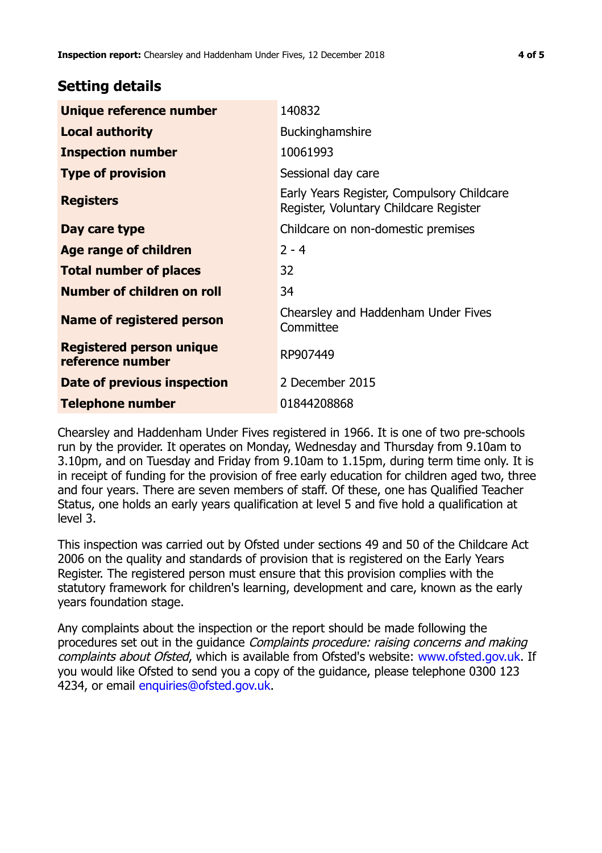## **Setting details**

| Unique reference number                             | 140832                                                                               |  |
|-----------------------------------------------------|--------------------------------------------------------------------------------------|--|
| <b>Local authority</b>                              | <b>Buckinghamshire</b>                                                               |  |
| <b>Inspection number</b>                            | 10061993                                                                             |  |
| <b>Type of provision</b>                            | Sessional day care                                                                   |  |
| <b>Registers</b>                                    | Early Years Register, Compulsory Childcare<br>Register, Voluntary Childcare Register |  |
| Day care type                                       | Childcare on non-domestic premises                                                   |  |
| <b>Age range of children</b>                        | $2 - 4$                                                                              |  |
| <b>Total number of places</b>                       | 32                                                                                   |  |
| Number of children on roll                          | 34                                                                                   |  |
| Name of registered person                           | Chearsley and Haddenham Under Fives<br>Committee                                     |  |
| <b>Registered person unique</b><br>reference number | RP907449                                                                             |  |
| Date of previous inspection                         | 2 December 2015                                                                      |  |
| <b>Telephone number</b>                             | 01844208868                                                                          |  |

Chearsley and Haddenham Under Fives registered in 1966. It is one of two pre-schools run by the provider. It operates on Monday, Wednesday and Thursday from 9.10am to 3.10pm, and on Tuesday and Friday from 9.10am to 1.15pm, during term time only. It is in receipt of funding for the provision of free early education for children aged two, three and four years. There are seven members of staff. Of these, one has Qualified Teacher Status, one holds an early years qualification at level 5 and five hold a qualification at level 3.

This inspection was carried out by Ofsted under sections 49 and 50 of the Childcare Act 2006 on the quality and standards of provision that is registered on the Early Years Register. The registered person must ensure that this provision complies with the statutory framework for children's learning, development and care, known as the early years foundation stage.

Any complaints about the inspection or the report should be made following the procedures set out in the quidance Complaints procedure: raising concerns and making complaints about Ofsted, which is available from Ofsted's website: www.ofsted.gov.uk. If you would like Ofsted to send you a copy of the guidance, please telephone 0300 123 4234, or email [enquiries@ofsted.gov.uk.](mailto:enquiries@ofsted.gov.uk)